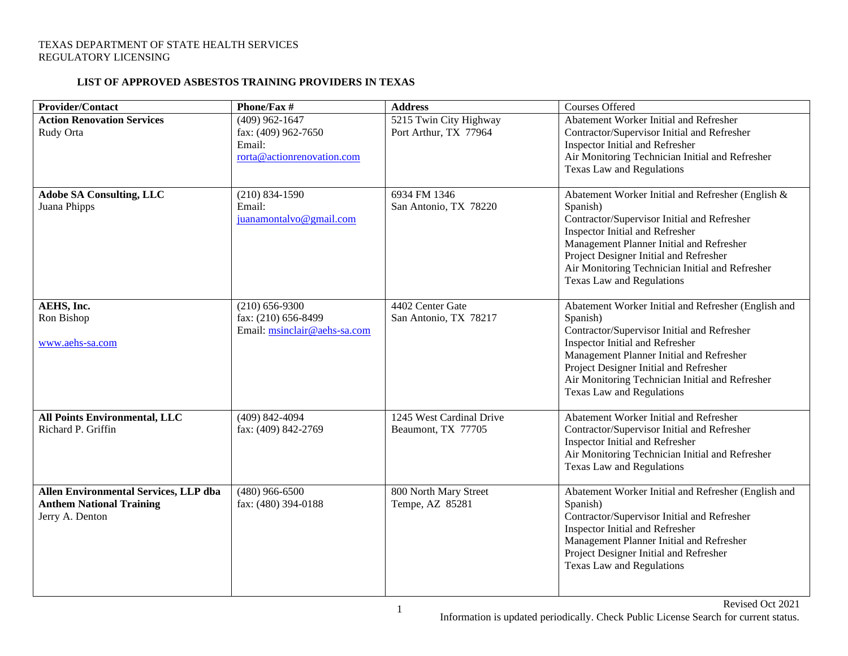## **LIST OF APPROVED ASBESTOS TRAINING PROVIDERS IN TEXAS**

| <b>Provider/Contact</b>                                                                     | Phone/Fax #                                                                     | <b>Address</b>                                  | Courses Offered                                                                                                                                                                                                                                                                                                              |
|---------------------------------------------------------------------------------------------|---------------------------------------------------------------------------------|-------------------------------------------------|------------------------------------------------------------------------------------------------------------------------------------------------------------------------------------------------------------------------------------------------------------------------------------------------------------------------------|
| <b>Action Renovation Services</b><br>Rudy Orta                                              | $(409)$ 962-1647<br>fax: (409) 962-7650<br>Email:<br>rorta@actionrenovation.com | 5215 Twin City Highway<br>Port Arthur, TX 77964 | Abatement Worker Initial and Refresher<br>Contractor/Supervisor Initial and Refresher<br>Inspector Initial and Refresher<br>Air Monitoring Technician Initial and Refresher<br>Texas Law and Regulations                                                                                                                     |
| <b>Adobe SA Consulting, LLC</b><br>Juana Phipps                                             | $(210) 834 - 1590$<br>Email:<br>juanamontalvo@gmail.com                         | 6934 FM 1346<br>San Antonio, TX 78220           | Abatement Worker Initial and Refresher (English &<br>Spanish)<br>Contractor/Supervisor Initial and Refresher<br>Inspector Initial and Refresher<br>Management Planner Initial and Refresher<br>Project Designer Initial and Refresher<br>Air Monitoring Technician Initial and Refresher<br><b>Texas Law and Regulations</b> |
| AEHS, Inc.<br>Ron Bishop<br>www.aehs-sa.com                                                 | $(210) 656 - 9300$<br>fax: (210) 656-8499<br>Email: msinclair@aehs-sa.com       | 4402 Center Gate<br>San Antonio, TX 78217       | Abatement Worker Initial and Refresher (English and<br>Spanish)<br>Contractor/Supervisor Initial and Refresher<br>Inspector Initial and Refresher<br>Management Planner Initial and Refresher<br>Project Designer Initial and Refresher<br>Air Monitoring Technician Initial and Refresher<br>Texas Law and Regulations      |
| All Points Environmental, LLC<br>Richard P. Griffin                                         | $(409)$ 842-4094<br>fax: (409) 842-2769                                         | 1245 West Cardinal Drive<br>Beaumont, TX 77705  | Abatement Worker Initial and Refresher<br>Contractor/Supervisor Initial and Refresher<br>Inspector Initial and Refresher<br>Air Monitoring Technician Initial and Refresher<br><b>Texas Law and Regulations</b>                                                                                                              |
| Allen Environmental Services, LLP dba<br><b>Anthem National Training</b><br>Jerry A. Denton | $(480)$ 966-6500<br>fax: (480) 394-0188                                         | 800 North Mary Street<br>Tempe, AZ 85281        | Abatement Worker Initial and Refresher (English and<br>Spanish)<br>Contractor/Supervisor Initial and Refresher<br>Inspector Initial and Refresher<br>Management Planner Initial and Refresher<br>Project Designer Initial and Refresher<br>Texas Law and Regulations                                                         |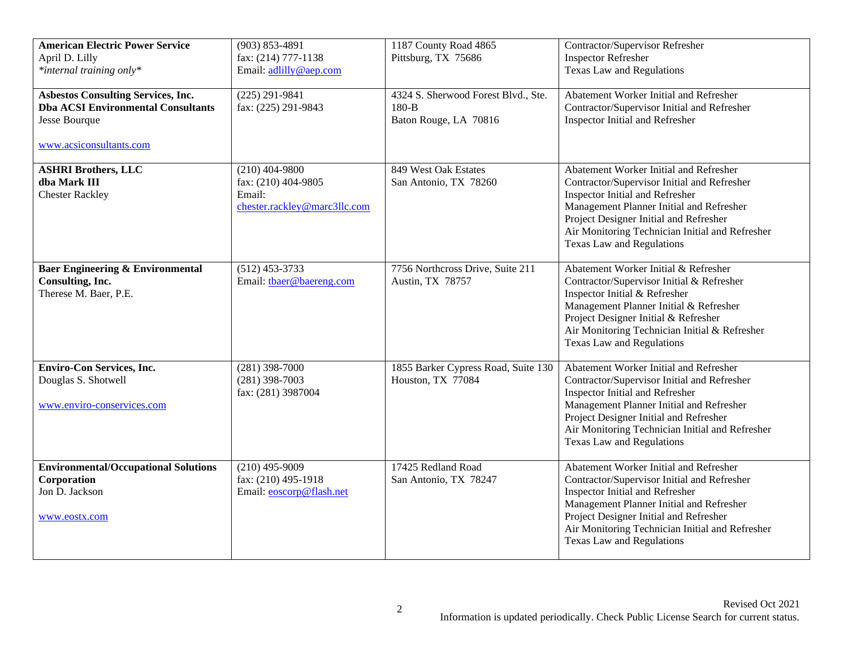| <b>American Electric Power Service</b><br>April D. Lilly<br>*internal training only*                                               | $(903) 853 - 4891$<br>fax: (214) 777-1138<br>Email: adlilly@aep.com               | 1187 County Road 4865<br>Pittsburg, TX 75686                            | Contractor/Supervisor Refresher<br><b>Inspector Refresher</b><br><b>Texas Law and Regulations</b>                                                                                                                                                                                                     |
|------------------------------------------------------------------------------------------------------------------------------------|-----------------------------------------------------------------------------------|-------------------------------------------------------------------------|-------------------------------------------------------------------------------------------------------------------------------------------------------------------------------------------------------------------------------------------------------------------------------------------------------|
| <b>Asbestos Consulting Services, Inc.</b><br><b>Dba ACSI Environmental Consultants</b><br>Jesse Bourque<br>www.acsiconsultants.com | $(225) 291 - 9841$<br>fax: (225) 291-9843                                         | 4324 S. Sherwood Forest Blvd., Ste.<br>$180-B$<br>Baton Rouge, LA 70816 | Abatement Worker Initial and Refresher<br>Contractor/Supervisor Initial and Refresher<br>Inspector Initial and Refresher                                                                                                                                                                              |
| <b>ASHRI Brothers, LLC</b><br>dba Mark III<br><b>Chester Rackley</b>                                                               | $(210)$ 404-9800<br>fax: (210) 404-9805<br>Email:<br>chester.rackley@marc3llc.com | 849 West Oak Estates<br>San Antonio, TX 78260                           | Abatement Worker Initial and Refresher<br>Contractor/Supervisor Initial and Refresher<br>Inspector Initial and Refresher<br>Management Planner Initial and Refresher<br>Project Designer Initial and Refresher<br>Air Monitoring Technician Initial and Refresher<br>Texas Law and Regulations        |
| <b>Baer Engineering &amp; Environmental</b><br>Consulting, Inc.<br>Therese M. Baer, P.E.                                           | $(512)$ 453-3733<br>Email: thaer@baereng.com                                      | 7756 Northcross Drive, Suite 211<br>Austin, TX 78757                    | Abatement Worker Initial & Refresher<br>Contractor/Supervisor Initial & Refresher<br>Inspector Initial & Refresher<br>Management Planner Initial & Refresher<br>Project Designer Initial & Refresher<br>Air Monitoring Technician Initial & Refresher<br>Texas Law and Regulations                    |
| <b>Enviro-Con Services, Inc.</b><br>Douglas S. Shotwell<br>www.enviro-conservices.com                                              | $(281)$ 398-7000<br>$(281)$ 398-7003<br>fax: (281) 3987004                        | 1855 Barker Cypress Road, Suite 130<br>Houston, TX 77084                | Abatement Worker Initial and Refresher<br>Contractor/Supervisor Initial and Refresher<br><b>Inspector Initial and Refresher</b><br>Management Planner Initial and Refresher<br>Project Designer Initial and Refresher<br>Air Monitoring Technician Initial and Refresher<br>Texas Law and Regulations |
| <b>Environmental/Occupational Solutions</b><br>Corporation<br>Jon D. Jackson<br>www.eostx.com                                      | $(210)$ 495-9009<br>fax: (210) 495-1918<br>Email: eoscorp@flash.net               | 17425 Redland Road<br>San Antonio, TX 78247                             | Abatement Worker Initial and Refresher<br>Contractor/Supervisor Initial and Refresher<br>Inspector Initial and Refresher<br>Management Planner Initial and Refresher<br>Project Designer Initial and Refresher<br>Air Monitoring Technician Initial and Refresher<br>Texas Law and Regulations        |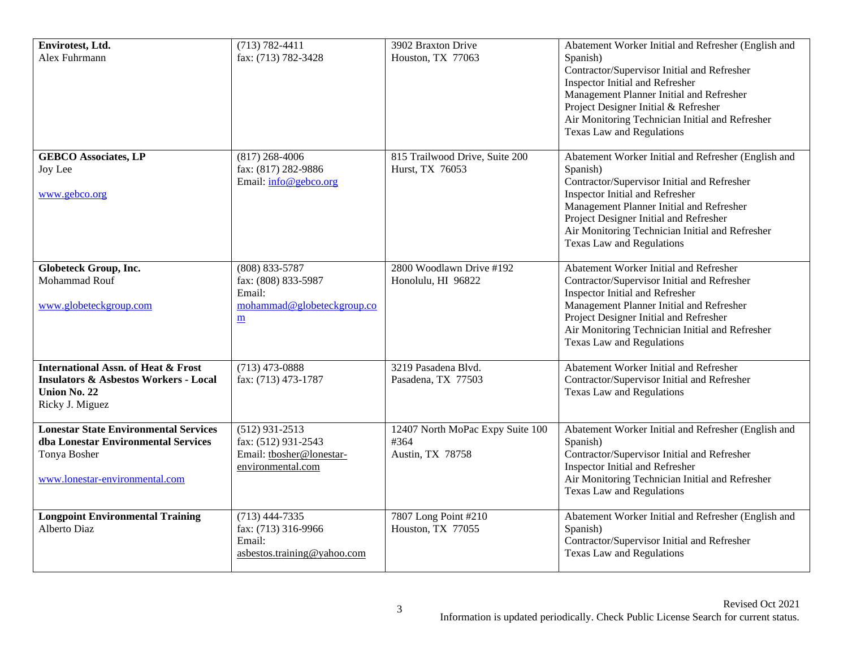| Envirotest, Ltd.<br>Alex Fuhrmann                                                                                                     | $(713) 782 - 4411$<br>fax: (713) 782-3428                                                                 | 3902 Braxton Drive<br>Houston, TX 77063                      | Abatement Worker Initial and Refresher (English and<br>Spanish)<br>Contractor/Supervisor Initial and Refresher<br><b>Inspector Initial and Refresher</b><br>Management Planner Initial and Refresher<br>Project Designer Initial & Refresher<br>Air Monitoring Technician Initial and Refresher<br><b>Texas Law and Regulations</b> |
|---------------------------------------------------------------------------------------------------------------------------------------|-----------------------------------------------------------------------------------------------------------|--------------------------------------------------------------|-------------------------------------------------------------------------------------------------------------------------------------------------------------------------------------------------------------------------------------------------------------------------------------------------------------------------------------|
| <b>GEBCO Associates, LP</b><br>Joy Lee<br>www.gebco.org                                                                               | $(817)$ 268-4006<br>fax: (817) 282-9886<br>Email: info@gebco.org                                          | 815 Trailwood Drive, Suite 200<br>Hurst, TX 76053            | Abatement Worker Initial and Refresher (English and<br>Spanish)<br>Contractor/Supervisor Initial and Refresher<br>Inspector Initial and Refresher<br>Management Planner Initial and Refresher<br>Project Designer Initial and Refresher<br>Air Monitoring Technician Initial and Refresher<br>Texas Law and Regulations             |
| <b>Globeteck Group, Inc.</b><br>Mohammad Rouf<br>www.globeteckgroup.com                                                               | (808) 833-5787<br>fax: (808) 833-5987<br>Email:<br>mohammad@globeteckgroup.co<br>$\underline{\mathbf{m}}$ | 2800 Woodlawn Drive #192<br>Honolulu, HI 96822               | Abatement Worker Initial and Refresher<br>Contractor/Supervisor Initial and Refresher<br>Inspector Initial and Refresher<br>Management Planner Initial and Refresher<br>Project Designer Initial and Refresher<br>Air Monitoring Technician Initial and Refresher<br><b>Texas Law and Regulations</b>                               |
| <b>International Assn. of Heat &amp; Frost</b><br><b>Insulators &amp; Asbestos Workers - Local</b><br>Union No. 22<br>Ricky J. Miguez | $(713)$ 473-0888<br>fax: (713) 473-1787                                                                   | 3219 Pasadena Blvd.<br>Pasadena, TX 77503                    | Abatement Worker Initial and Refresher<br>Contractor/Supervisor Initial and Refresher<br><b>Texas Law and Regulations</b>                                                                                                                                                                                                           |
| <b>Lonestar State Environmental Services</b><br>dba Lonestar Environmental Services<br>Tonya Bosher<br>www.lonestar-environmental.com | $(512)$ 931-2513<br>fax: (512) 931-2543<br>Email: tbosher@lonestar-<br>environmental.com                  | 12407 North MoPac Expy Suite 100<br>#364<br>Austin, TX 78758 | Abatement Worker Initial and Refresher (English and<br>Spanish)<br>Contractor/Supervisor Initial and Refresher<br>Inspector Initial and Refresher<br>Air Monitoring Technician Initial and Refresher<br>Texas Law and Regulations                                                                                                   |
| <b>Longpoint Environmental Training</b><br>Alberto Diaz                                                                               | $(713)$ 444-7335<br>fax: (713) 316-9966<br>Email:<br>asbestos.training@yahoo.com                          | 7807 Long Point #210<br>Houston, TX 77055                    | Abatement Worker Initial and Refresher (English and<br>Spanish)<br>Contractor/Supervisor Initial and Refresher<br>Texas Law and Regulations                                                                                                                                                                                         |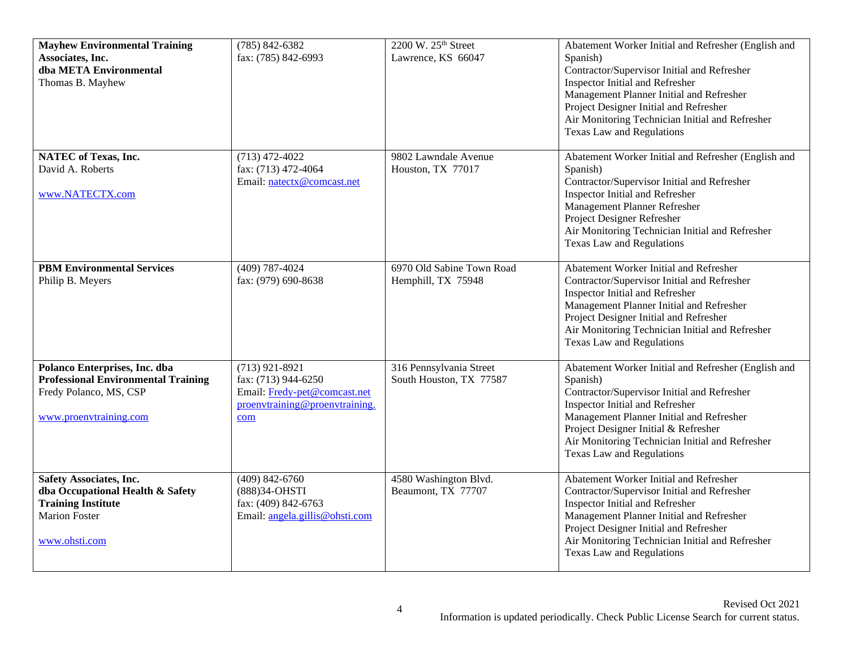| <b>Mayhew Environmental Training</b><br>Associates, Inc.<br>dba META Environmental<br>Thomas B. Mayhew                                   | $(785) 842 - 6382$<br>fax: (785) 842-6993                                                                        | 2200 W. 25th Street<br>Lawrence, KS 66047          | Abatement Worker Initial and Refresher (English and<br>Spanish)<br>Contractor/Supervisor Initial and Refresher<br>Inspector Initial and Refresher<br>Management Planner Initial and Refresher<br>Project Designer Initial and Refresher<br>Air Monitoring Technician Initial and Refresher<br><b>Texas Law and Regulations</b> |
|------------------------------------------------------------------------------------------------------------------------------------------|------------------------------------------------------------------------------------------------------------------|----------------------------------------------------|--------------------------------------------------------------------------------------------------------------------------------------------------------------------------------------------------------------------------------------------------------------------------------------------------------------------------------|
| <b>NATEC</b> of Texas, Inc.<br>David A. Roberts<br>www.NATECTX.com                                                                       | $(713)$ 472-4022<br>fax: (713) 472-4064<br>Email: natectx@comcast.net                                            | 9802 Lawndale Avenue<br>Houston, TX 77017          | Abatement Worker Initial and Refresher (English and<br>Spanish)<br>Contractor/Supervisor Initial and Refresher<br>Inspector Initial and Refresher<br>Management Planner Refresher<br>Project Designer Refresher<br>Air Monitoring Technician Initial and Refresher<br>Texas Law and Regulations                                |
| <b>PBM Environmental Services</b><br>Philip B. Meyers                                                                                    | $(409) 787 - 4024$<br>fax: (979) 690-8638                                                                        | 6970 Old Sabine Town Road<br>Hemphill, TX 75948    | Abatement Worker Initial and Refresher<br>Contractor/Supervisor Initial and Refresher<br>Inspector Initial and Refresher<br>Management Planner Initial and Refresher<br>Project Designer Initial and Refresher<br>Air Monitoring Technician Initial and Refresher<br>Texas Law and Regulations                                 |
| Polanco Enterprises, Inc. dba<br><b>Professional Environmental Training</b><br>Fredy Polanco, MS, CSP<br>www.proenvtraining.com          | $(713)$ 921-8921<br>fax: (713) 944-6250<br>Email: Fredy-pet@comcast.net<br>proenvtraining@proenvtraining.<br>com | 316 Pennsylvania Street<br>South Houston, TX 77587 | Abatement Worker Initial and Refresher (English and<br>Spanish)<br>Contractor/Supervisor Initial and Refresher<br>Inspector Initial and Refresher<br>Management Planner Initial and Refresher<br>Project Designer Initial & Refresher<br>Air Monitoring Technician Initial and Refresher<br>Texas Law and Regulations          |
| <b>Safety Associates, Inc.</b><br>dba Occupational Health & Safety<br><b>Training Institute</b><br><b>Marion Foster</b><br>www.ohsti.com | $(409)$ 842-6760<br>(888)34-OHSTI<br>fax: (409) 842-6763<br>Email: angela.gillis@ohsti.com                       | 4580 Washington Blvd.<br>Beaumont, TX 77707        | Abatement Worker Initial and Refresher<br>Contractor/Supervisor Initial and Refresher<br>Inspector Initial and Refresher<br>Management Planner Initial and Refresher<br>Project Designer Initial and Refresher<br>Air Monitoring Technician Initial and Refresher<br>Texas Law and Regulations                                 |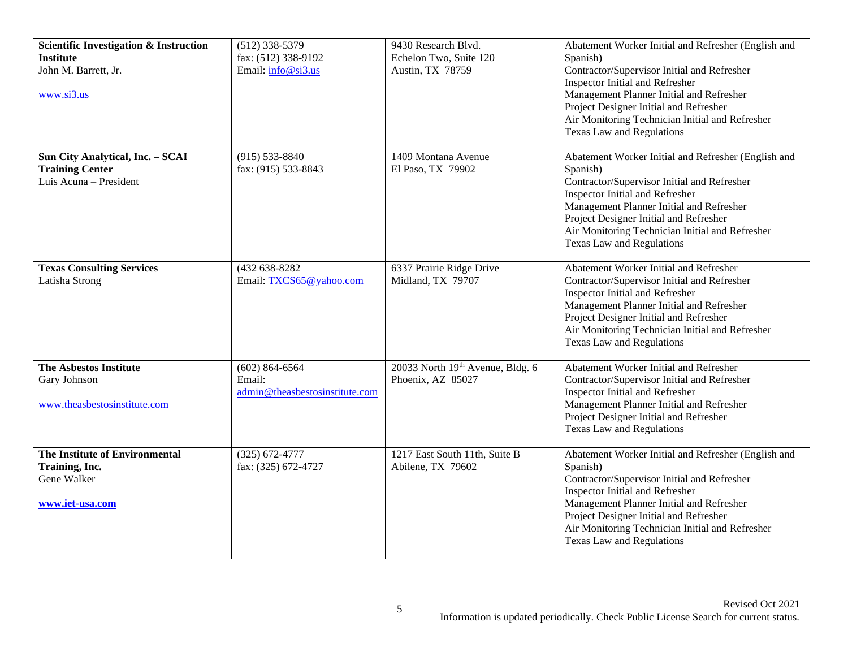| <b>Scientific Investigation &amp; Instruction</b><br><b>Institute</b><br>John M. Barrett, Jr.<br>www.si3.us | $(512)$ 338-5379<br>fax: (512) 338-9192<br>Email: info@si3.us  | 9430 Research Blvd.<br>Echelon Two, Suite 120<br>Austin, TX 78759 | Abatement Worker Initial and Refresher (English and<br>Spanish)<br>Contractor/Supervisor Initial and Refresher<br>Inspector Initial and Refresher<br>Management Planner Initial and Refresher<br>Project Designer Initial and Refresher<br>Air Monitoring Technician Initial and Refresher<br>Texas Law and Regulations        |
|-------------------------------------------------------------------------------------------------------------|----------------------------------------------------------------|-------------------------------------------------------------------|--------------------------------------------------------------------------------------------------------------------------------------------------------------------------------------------------------------------------------------------------------------------------------------------------------------------------------|
| Sun City Analytical, Inc. - SCAI<br><b>Training Center</b><br>Luis Acuna - President                        | $(915) 533 - 8840$<br>fax: (915) 533-8843                      | 1409 Montana Avenue<br>El Paso, TX 79902                          | Abatement Worker Initial and Refresher (English and<br>Spanish)<br>Contractor/Supervisor Initial and Refresher<br><b>Inspector Initial and Refresher</b><br>Management Planner Initial and Refresher<br>Project Designer Initial and Refresher<br>Air Monitoring Technician Initial and Refresher<br>Texas Law and Regulations |
| <b>Texas Consulting Services</b><br>Latisha Strong                                                          | (432 638-8282<br>Email: TXCS65@yahoo.com                       | 6337 Prairie Ridge Drive<br>Midland, TX 79707                     | Abatement Worker Initial and Refresher<br>Contractor/Supervisor Initial and Refresher<br>Inspector Initial and Refresher<br>Management Planner Initial and Refresher<br>Project Designer Initial and Refresher<br>Air Monitoring Technician Initial and Refresher<br>Texas Law and Regulations                                 |
| <b>The Asbestos Institute</b><br>Gary Johnson<br>www.theasbestosinstitute.com                               | $(602) 864 - 6564$<br>Email:<br>admin@theasbestosinstitute.com | 20033 North 19th Avenue, Bldg. 6<br>Phoenix, AZ 85027             | Abatement Worker Initial and Refresher<br>Contractor/Supervisor Initial and Refresher<br>Inspector Initial and Refresher<br>Management Planner Initial and Refresher<br>Project Designer Initial and Refresher<br>Texas Law and Regulations                                                                                    |
| The Institute of Environmental<br>Training, Inc.<br>Gene Walker<br>www.iet-usa.com                          | $(325) 672 - 4777$<br>fax: (325) 672-4727                      | 1217 East South 11th, Suite B<br>Abilene, TX 79602                | Abatement Worker Initial and Refresher (English and<br>Spanish)<br>Contractor/Supervisor Initial and Refresher<br>Inspector Initial and Refresher<br>Management Planner Initial and Refresher<br>Project Designer Initial and Refresher<br>Air Monitoring Technician Initial and Refresher<br>Texas Law and Regulations        |